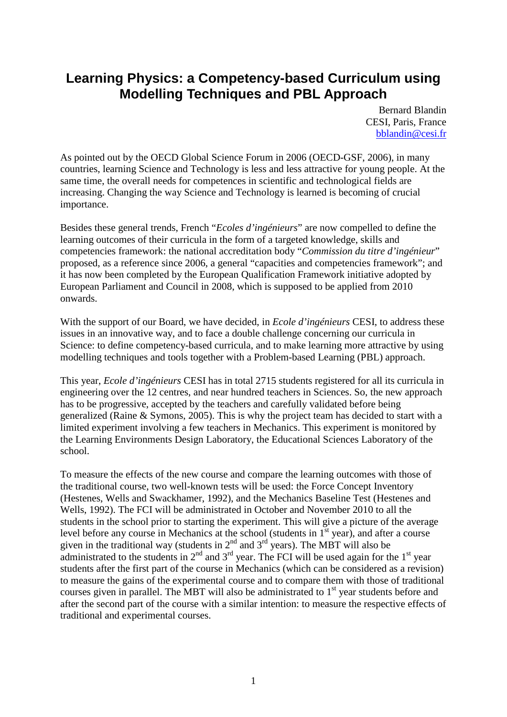# **Learning Physics: a Competency-based Curriculum using Modelling Techniques and PBL Approach**

Bernard Blandin CESI, Paris, France [bblandin@cesi.fr](mailto:bblandin@cesi.fr)

As pointed out by the OECD Global Science Forum in 2006 (OECD-GSF, 2006), in many countries, learning Science and Technology is less and less attractive for young people. At the same time, the overall needs for competences in scientific and technological fields are increasing. Changing the way Science and Technology is learned is becoming of crucial importance.

Besides these general trends, French "*Ecoles d'ingénieurs*" are now compelled to define the learning outcomes of their curricula in the form of a targeted knowledge, skills and competencies framework: the national accreditation body "*Commission du titre d'ingénieur*" proposed, as a reference since 2006, a general "capacities and competencies framework"; and it has now been completed by the European Qualification Framework initiative adopted by European Parliament and Council in 2008, which is supposed to be applied from 2010 onwards.

With the support of our Board, we have decided, in *Ecole d'ingénieurs* CESI, to address these issues in an innovative way, and to face a double challenge concerning our curricula in Science: to define competency-based curricula, and to make learning more attractive by using modelling techniques and tools together with a Problem-based Learning (PBL) approach.

This year, *Ecole d'ingénieurs* CESI has in total 2715 students registered for all its curricula in engineering over the 12 centres, and near hundred teachers in Sciences. So, the new approach has to be progressive, accepted by the teachers and carefully validated before being generalized (Raine & Symons, 2005). This is why the project team has decided to start with a limited experiment involving a few teachers in Mechanics. This experiment is monitored by the Learning Environments Design Laboratory, the Educational Sciences Laboratory of the school.

To measure the effects of the new course and compare the learning outcomes with those of the traditional course, two well-known tests will be used: the Force Concept Inventory (Hestenes, Wells and Swackhamer, 1992), and the Mechanics Baseline Test (Hestenes and Wells, 1992). The FCI will be administrated in October and November 2010 to all the students in the school prior to starting the experiment. This will give a picture of the average level before any course in Mechanics at the school (students in  $1<sup>st</sup>$  year), and after a course given in the traditional way (students in  $2<sup>nd</sup>$  and  $3<sup>rd</sup>$  years). The MBT will also be administrated to the students in  $2^{nd}$  and  $3^{rd}$  year. The FCI will be used again for the  $1^{st}$  year students after the first part of the course in Mechanics (which can be considered as a revision) to measure the gains of the experimental course and to compare them with those of traditional courses given in parallel. The MBT will also be administrated to 1<sup>st</sup> year students before and after the second part of the course with a similar intention: to measure the respective effects of traditional and experimental courses.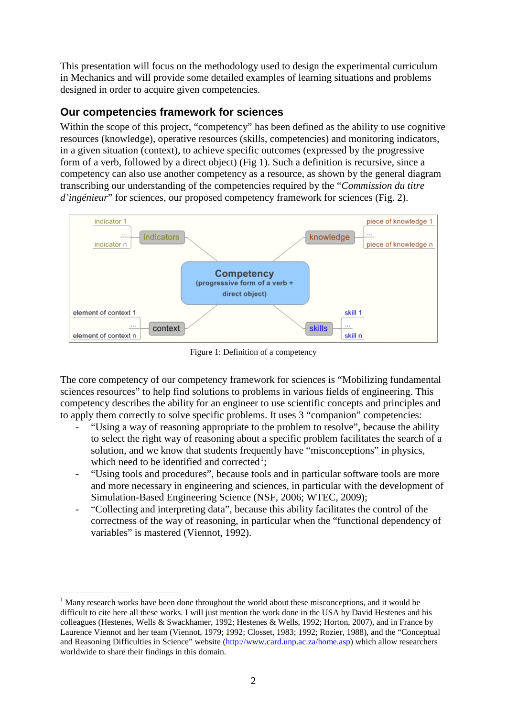This presentation will focus on the methodology used to design the experimental curriculum in Mechanics and will provide some detailed examples of learning situations and problems designed in order to acquire given competencies.

## **Our competencies framework for sciences**

Within the scope of this project, "competency" has been defined as the ability to use cognitive resources (knowledge), operative resources (skills, competencies) and monitoring indicators, in a given situation (context), to achieve specific outcomes (expressed by the progressive form of a verb, followed by a direct object) (Fig 1). Such a definition is recursive, since a competency can also use another competency as a resource, as shown by the general diagram transcribing our understanding of the competencies required by the "*Commission du titre d'ingénieur*" for sciences, our proposed competency framework for sciences (Fig. 2).



Figure 1: Definition of a competency

The core competency of our competency framework for sciences is "Mobilizing fundamental sciences resources" to help find solutions to problems in various fields of engineering. This competency describes the ability for an engineer to use scientific concepts and principles and to apply them correctly to solve specific problems. It uses 3 "companion" competencies:

- "Using a way of reasoning appropriate to the problem to resolve", because the ability to select the right way of reasoning about a specific problem facilitates the search of a solution, and we know that students frequently have "misconceptions" in physics, which need to be identified and corrected<sup>[1](#page-1-0)</sup>;
- "Using tools and procedures", because tools and in particular software tools are more and more necessary in engineering and sciences, in particular with the development of Simulation-Based Engineering Science (NSF, 2006; WTEC, 2009);
- "Collecting and interpreting data", because this ability facilitates the control of the correctness of the way of reasoning, in particular when the "functional dependency of variables" is mastered (Viennot, 1992).

<span id="page-1-0"></span> $1$  Many research works have been done throughout the world about these misconceptions, and it would be difficult to cite here all these works. I will just mention the work done in the USA by David Hestenes and his colleagues (Hestenes, Wells & Swackhamer, 1992; Hestenes & Wells, 1992; Horton, 2007), and in France by Laurence Viennot and her team (Viennot, 1979; 1992; Closset, 1983; 1992; Rozier, 1988), and the "Conceptual and Reasoning Difficulties in Science" website [\(http://www.card.unp.ac.za/home.asp\)](http://www.card.unp.ac.za/home.asp) which allow researchers worldwide to share their findings in this domain.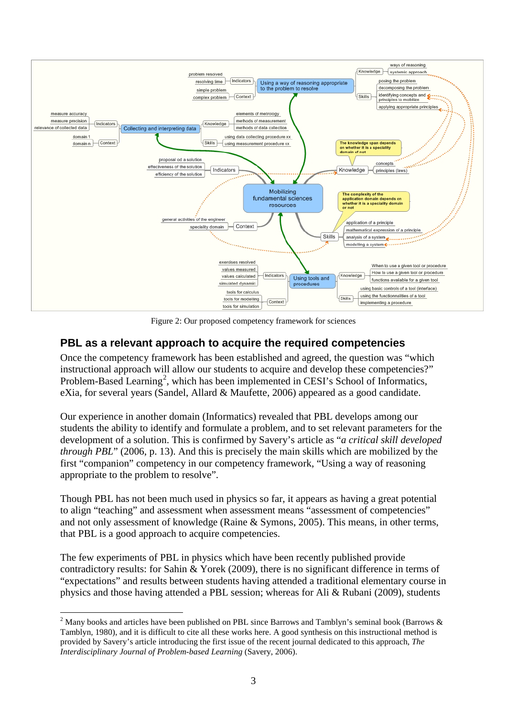

Figure 2: Our proposed competency framework for sciences

### **PBL as a relevant approach to acquire the required competencies**

Once the competency framework has been established and agreed, the question was "which instructional approach will allow our students to acquire and develop these competencies?" Problem-Based Learning<sup>[2](#page-2-0)</sup>, which has been implemented in CESI's School of Informatics, eXia, for several years (Sandel, Allard & Maufette, 2006) appeared as a good candidate.

Our experience in another domain (Informatics) revealed that PBL develops among our students the ability to identify and formulate a problem, and to set relevant parameters for the development of a solution. This is confirmed by Savery's article as "*a critical skill developed through PBL*" (2006, p. 13). And this is precisely the main skills which are mobilized by the first "companion" competency in our competency framework, "Using a way of reasoning appropriate to the problem to resolve".

Though PBL has not been much used in physics so far, it appears as having a great potential to align "teaching" and assessment when assessment means "assessment of competencies" and not only assessment of knowledge (Raine & Symons, 2005). This means, in other terms, that PBL is a good approach to acquire competencies.

The few experiments of PBL in physics which have been recently published provide contradictory results: for Sahin & Yorek (2009), there is no significant difference in terms of "expectations" and results between students having attended a traditional elementary course in physics and those having attended a PBL session; whereas for Ali & Rubani (2009), students

<span id="page-2-0"></span><sup>&</sup>lt;sup>2</sup> Many books and articles have been published on PBL since Barrows and Tamblyn's seminal book (Barrows  $\&$ Tamblyn, 1980), and it is difficult to cite all these works here. A good synthesis on this instructional method is provided by Savery's article introducing the first issue of the recent journal dedicated to this approach, *The Interdisciplinary Journal of Problem-based Learning* (Savery, 2006).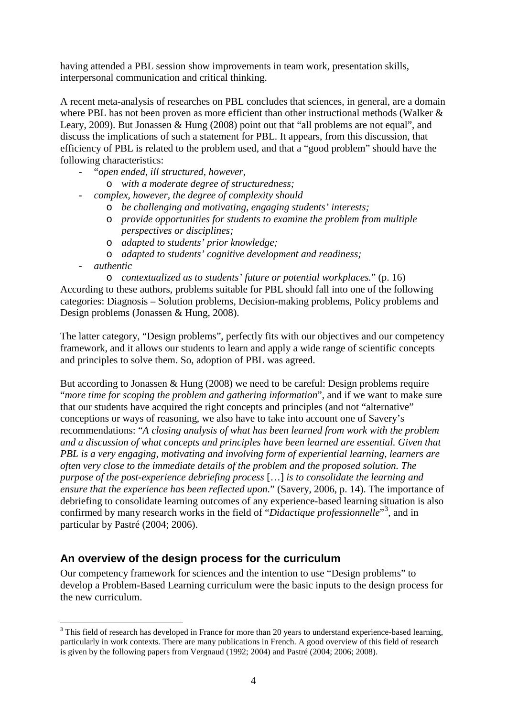having attended a PBL session show improvements in team work, presentation skills, interpersonal communication and critical thinking.

A recent meta-analysis of researches on PBL concludes that sciences, in general, are a domain where PBL has not been proven as more efficient than other instructional methods (Walker & Leary, 2009). But Jonassen & Hung (2008) point out that "all problems are not equal", and discuss the implications of such a statement for PBL. It appears, from this discussion, that efficiency of PBL is related to the problem used, and that a "good problem" should have the following characteristics:

- "*open ended, ill structured, however,*
	- o *with a moderate degree of structuredness;*
- *complex, however, the degree of complexity should*
	- o *be challenging and motivating, engaging students' interests;*
	- o *provide opportunities for students to examine the problem from multiple perspectives or disciplines;*
	- o *adapted to students' prior knowledge;*
	- o *adapted to students' cognitive development and readiness;*
- *authentic*

o *contextualized as to students' future or potential workplaces.*" (p. 16) According to these authors, problems suitable for PBL should fall into one of the following categories: Diagnosis – Solution problems, Decision-making problems, Policy problems and Design problems (Jonassen & Hung, 2008).

The latter category, "Design problems", perfectly fits with our objectives and our competency framework, and it allows our students to learn and apply a wide range of scientific concepts and principles to solve them. So, adoption of PBL was agreed.

But according to Jonassen & Hung (2008) we need to be careful: Design problems require "*more time for scoping the problem and gathering information*", and if we want to make sure that our students have acquired the right concepts and principles (and not "alternative" conceptions or ways of reasoning, we also have to take into account one of Savery's recommendations: "*A closing analysis of what has been learned from work with the problem and a discussion of what concepts and principles have been learned are essential. Given that PBL is a very engaging, motivating and involving form of experiential learning, learners are often very close to the immediate details of the problem and the proposed solution. The purpose of the post-experience debriefing process* […] *is to consolidate the learning and ensure that the experience has been reflected upon.*" (Savery, 2006, p. 14). The importance of debriefing to consolidate learning outcomes of any experience-based learning situation is also confirmed by many research works in the field of "*Didactique professionnelle*"[3](#page-3-0) , and in particular by Pastré (2004; 2006).

#### **An overview of the design process for the curriculum**

Our competency framework for sciences and the intention to use "Design problems" to develop a Problem-Based Learning curriculum were the basic inputs to the design process for the new curriculum.

<span id="page-3-0"></span><sup>&</sup>lt;sup>3</sup> This field of research has developed in France for more than 20 years to understand experience-based learning, particularly in work contexts. There are many publications in French. A good overview of this field of research is given by the following papers from Vergnaud (1992; 2004) and Pastré (2004; 2006; 2008).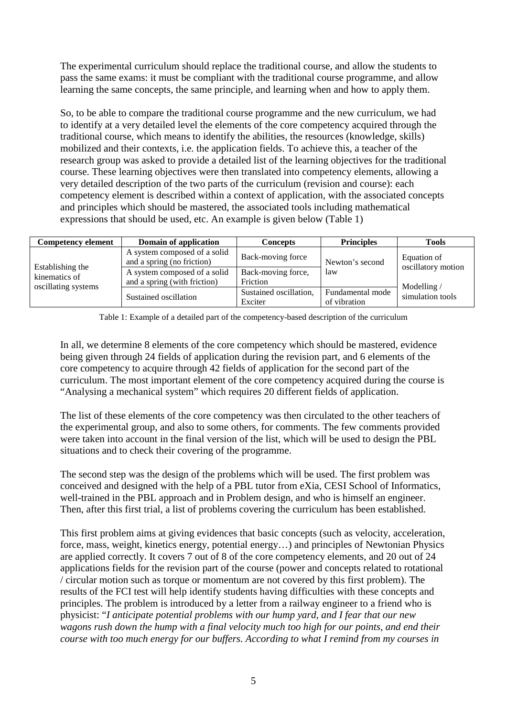The experimental curriculum should replace the traditional course, and allow the students to pass the same exams: it must be compliant with the traditional course programme, and allow learning the same concepts, the same principle, and learning when and how to apply them.

So, to be able to compare the traditional course programme and the new curriculum, we had to identify at a very detailed level the elements of the core competency acquired through the traditional course, which means to identify the abilities, the resources (knowledge, skills) mobilized and their contexts, i.e. the application fields. To achieve this, a teacher of the research group was asked to provide a detailed list of the learning objectives for the traditional course. These learning objectives were then translated into competency elements, allowing a very detailed description of the two parts of the curriculum (revision and course): each competency element is described within a context of application, with the associated concepts and principles which should be mastered, the associated tools including mathematical expressions that should be used, etc. An example is given below (Table 1)

| <b>Competency element</b>                                | Domain of application                                        | Concepts                          | <b>Principles</b>                | <b>Tools</b>                                                         |
|----------------------------------------------------------|--------------------------------------------------------------|-----------------------------------|----------------------------------|----------------------------------------------------------------------|
| Establishing the<br>kinematics of<br>oscillating systems | A system composed of a solid<br>and a spring (no friction)   | Back-moving force                 | Newton's second                  | Equation of<br>oscillatory motion<br>Modelling /<br>simulation tools |
|                                                          | A system composed of a solid<br>and a spring (with friction) | Back-moving force,<br>Friction    | 1aw                              |                                                                      |
|                                                          | Sustained oscillation                                        | Sustained oscillation,<br>Exciter | Fundamental mode<br>of vibration |                                                                      |

Table 1: Example of a detailed part of the competency-based description of the curriculum

In all, we determine 8 elements of the core competency which should be mastered, evidence being given through 24 fields of application during the revision part, and 6 elements of the core competency to acquire through 42 fields of application for the second part of the curriculum. The most important element of the core competency acquired during the course is "Analysing a mechanical system" which requires 20 different fields of application.

The list of these elements of the core competency was then circulated to the other teachers of the experimental group, and also to some others, for comments. The few comments provided were taken into account in the final version of the list, which will be used to design the PBL situations and to check their covering of the programme.

The second step was the design of the problems which will be used. The first problem was conceived and designed with the help of a PBL tutor from eXia, CESI School of Informatics, well-trained in the PBL approach and in Problem design, and who is himself an engineer. Then, after this first trial, a list of problems covering the curriculum has been established.

This first problem aims at giving evidences that basic concepts (such as velocity, acceleration, force, mass, weight, kinetics energy, potential energy…) and principles of Newtonian Physics are applied correctly. It covers 7 out of 8 of the core competency elements, and 20 out of 24 applications fields for the revision part of the course (power and concepts related to rotational / circular motion such as torque or momentum are not covered by this first problem). The results of the FCI test will help identify students having difficulties with these concepts and principles. The problem is introduced by a letter from a railway engineer to a friend who is physicist: "*I anticipate potential problems with our hump yard, and I fear that our new wagons rush down the hump with a final velocity much too high for our points, and end their course with too much energy for our buffers. According to what I remind from my courses in*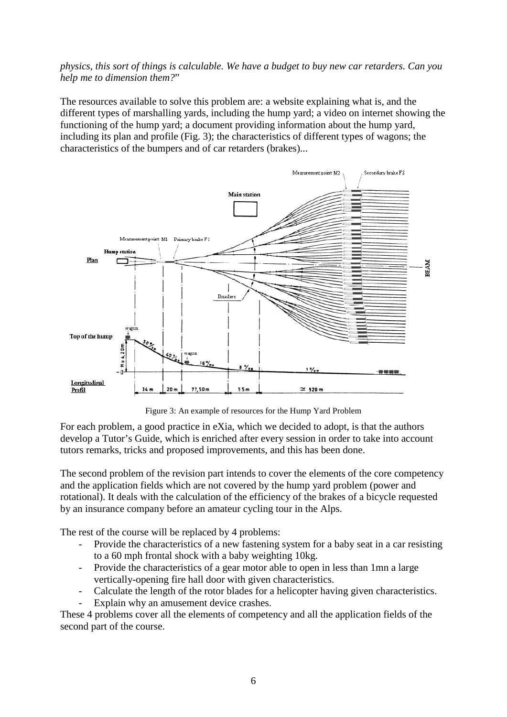*physics, this sort of things is calculable. We have a budget to buy new car retarders. Can you help me to dimension them?*"

The resources available to solve this problem are: a website explaining what is, and the different types of marshalling yards, including the hump yard; a video on internet showing the functioning of the hump yard; a document providing information about the hump yard, including its plan and profile (Fig. 3); the characteristics of different types of wagons; the characteristics of the bumpers and of car retarders (brakes)...



Figure 3: An example of resources for the Hump Yard Problem

For each problem, a good practice in eXia, which we decided to adopt, is that the authors develop a Tutor's Guide, which is enriched after every session in order to take into account tutors remarks, tricks and proposed improvements, and this has been done.

The second problem of the revision part intends to cover the elements of the core competency and the application fields which are not covered by the hump yard problem (power and rotational). It deals with the calculation of the efficiency of the brakes of a bicycle requested by an insurance company before an amateur cycling tour in the Alps.

The rest of the course will be replaced by 4 problems:

- Provide the characteristics of a new fastening system for a baby seat in a car resisting to a 60 mph frontal shock with a baby weighting 10kg.
- Provide the characteristics of a gear motor able to open in less than 1mn a large vertically-opening fire hall door with given characteristics.
- Calculate the length of the rotor blades for a helicopter having given characteristics.
- Explain why an amusement device crashes.

These 4 problems cover all the elements of competency and all the application fields of the second part of the course.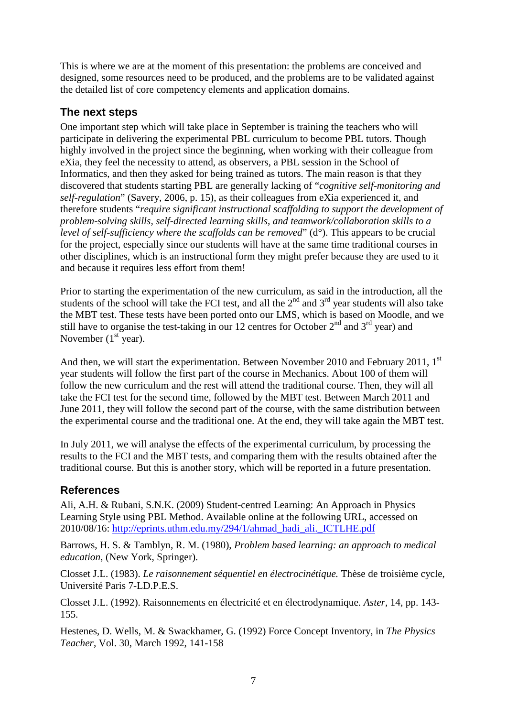This is where we are at the moment of this presentation: the problems are conceived and designed, some resources need to be produced, and the problems are to be validated against the detailed list of core competency elements and application domains.

# **The next steps**

One important step which will take place in September is training the teachers who will participate in delivering the experimental PBL curriculum to become PBL tutors. Though highly involved in the project since the beginning, when working with their colleague from eXia, they feel the necessity to attend, as observers, a PBL session in the School of Informatics, and then they asked for being trained as tutors. The main reason is that they discovered that students starting PBL are generally lacking of "*cognitive self-monitoring and self-regulation*" (Savery, 2006, p. 15), as their colleagues from eXia experienced it, and therefore students "*require significant instructional scaffolding to support the development of problem-solving skills, self-directed learning skills, and teamwork/collaboration skills to a level of self-sufficiency where the scaffolds can be removed*" (d°). This appears to be crucial for the project, especially since our students will have at the same time traditional courses in other disciplines, which is an instructional form they might prefer because they are used to it and because it requires less effort from them!

Prior to starting the experimentation of the new curriculum, as said in the introduction, all the students of the school will take the FCI test, and all the  $2<sup>nd</sup>$  and  $3<sup>rd</sup>$  year students will also take the MBT test. These tests have been ported onto our LMS, which is based on Moodle, and we still have to organise the test-taking in our 12 centres for October  $2<sup>nd</sup>$  and  $3<sup>rd</sup>$  year) and November  $(1<sup>st</sup>$  year).

And then, we will start the experimentation. Between November 2010 and February 2011, 1<sup>st</sup> year students will follow the first part of the course in Mechanics. About 100 of them will follow the new curriculum and the rest will attend the traditional course. Then, they will all take the FCI test for the second time, followed by the MBT test. Between March 2011 and June 2011, they will follow the second part of the course, with the same distribution between the experimental course and the traditional one. At the end, they will take again the MBT test.

In July 2011, we will analyse the effects of the experimental curriculum, by processing the results to the FCI and the MBT tests, and comparing them with the results obtained after the traditional course. But this is another story, which will be reported in a future presentation.

## **References**

Ali, A.H. & Rubani, S.N.K. (2009) Student-centred Learning: An Approach in Physics Learning Style using PBL Method. Available online at the following URL, accessed on 2010/08/16: [http://eprints.uthm.edu.my/294/1/ahmad\\_hadi\\_ali.\\_ICTLHE.pdf](http://eprints.uthm.edu.my/294/1/ahmad_hadi_ali._ICTLHE.pdf)

Barrows, H. S. & Tamblyn, R. M. (1980), *Problem based learning: an approach to medical education,* (New York, Springer).

Closset J.L. (1983). *Le raisonnement séquentiel en électrocinétique.* Thèse de troisième cycle, Université Paris 7-LD.P.E.S.

Closset J.L. (1992). Raisonnements en électricité et en électrodynamique. *Aster,* 14, pp. 143- 155.

Hestenes, D. Wells, M. & Swackhamer, G. (1992) Force Concept Inventory, in *The Physics Teacher*, Vol. 30, March 1992, 141-158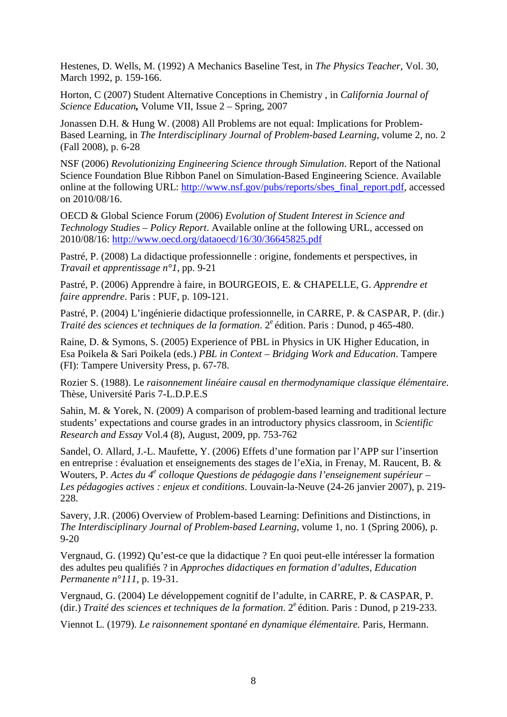Hestenes, D. Wells, M. (1992) A Mechanics Baseline Test, in *The Physics Teacher,* Vol. 30, March 1992, p. 159-166.

Horton, C (2007) Student Alternative Conceptions in Chemistry , in *California Journal of Science Education,* Volume VII, Issue 2 – Spring, 2007

Jonassen D.H. & Hung W. (2008) All Problems are not equal: Implications for Problem-Based Learning, in *The Interdisciplinary Journal of Problem-based Learning*, volume 2, no. 2 (Fall 2008), p. 6-28

NSF (2006) *Revolutionizing Engineering Science through Simulation*. Report of the National Science Foundation Blue Ribbon Panel on Simulation-Based Engineering Science. Available online at the following URL: [http://www.nsf.gov/pubs/reports/sbes\\_final\\_report.pdf,](http://www.nsf.gov/pubs/reports/sbes_final_report.pdf) accessed on 2010/08/16.

OECD & Global Science Forum (2006) *Evolution of Student Interest in Science and Technology Studies – Policy Report*. Available online at the following URL, accessed on 2010/08/16:<http://www.oecd.org/dataoecd/16/30/36645825.pdf>

Pastré, P. (2008) La didactique professionnelle : origine, fondements et perspectives, in *Travail et apprentissage n°1*, pp. 9-21

Pastré, P. (2006) Apprendre à faire, in BOURGEOIS, E. & CHAPELLE, G. *Apprendre et faire apprendre*. Paris : PUF, p. 109-121.

Pastré, P. (2004) L'ingénierie didactique professionnelle, in CARRE, P. & CASPAR, P. (dir.) *Traité des sciences et techniques de la formation.* 2<sup>e</sup> édition. Paris : Dunod, p 465-480.

Raine, D. & Symons, S. (2005) Experience of PBL in Physics in UK Higher Education, in Esa Poikela & Sari Poikela (eds.) *PBL in Context – Bridging Work and Education*. Tampere (FI): Tampere University Press, p. 67-78.

Rozier S. (1988). Le *raisonnement linéaire causal en thermodynamique classique élémentaire.*  Thèse, Université Paris 7-L.D.P.E.S

Sahin, M. & Yorek, N. (2009) A comparison of problem-based learning and traditional lecture students' expectations and course grades in an introductory physics classroom, in *Scientific Research and Essay* Vol.4 (8), August, 2009, pp. 753-762

Sandel, O. Allard, J.-L. Maufette, Y. (2006) Effets d'une formation par l'APP sur l'insertion en entreprise : évaluation et enseignements des stages de l'eXia, in Frenay, M. Raucent, B. & Wouters, P. *Actes du 4<sup>e</sup> colloque Questions de pédagogie dans l'enseignement supérieur – Les pédagogies actives : enjeux et conditions*. Louvain-la-Neuve (24-26 janvier 2007), p. 219- 228.

Savery, J.R. (2006) Overview of Problem-based Learning: Definitions and Distinctions, in *The Interdisciplinary Journal of Problem-based Learning*, volume 1, no. 1 (Spring 2006), p. 9-20

Vergnaud, G. (1992) Qu'est-ce que la didactique ? En quoi peut-elle intéresser la formation des adultes peu qualifiés ? in *Approches didactiques en formation d'adultes, Education Permanente n°111*, p. 19-31.

Vergnaud, G. (2004) Le développement cognitif de l'adulte, in CARRE, P. & CASPAR, P. (dir.) *Traité des sciences et techniques de la formation*. 2e édition. Paris : Dunod, p 219-233.

Viennot L. (1979). *Le raisonnement spontané en dynamique élémentaire.* Paris, Hermann.